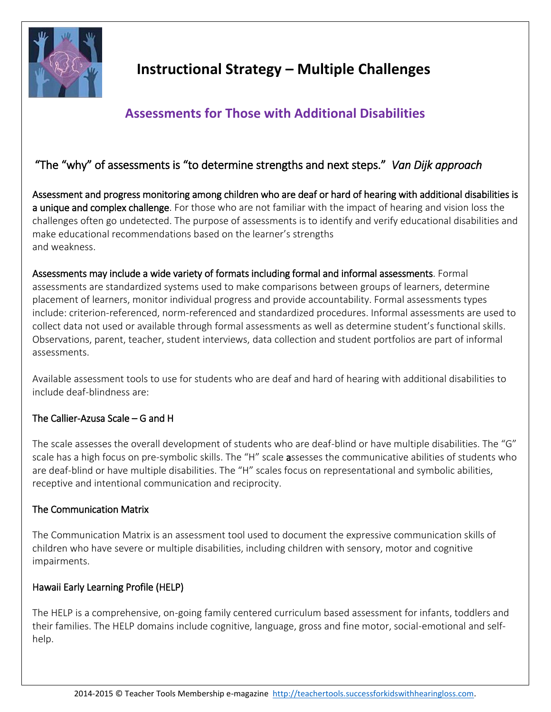

# **Instructional Strategy – Multiple Challenges**

## **Assessments for Those with Additional Disabilities**

### "The "why" of assessments is "to determine strengths and next steps." *Van Dijk approach*

Assessment and progress monitoring among children who are deaf or hard of hearing with additional disabilities is a unique and complex challenge. For those who are not familiar with the impact of hearing and vision loss the challenges often go undetected. The purpose of assessments is to identify and verify educational disabilities and make educational recommendations based on the learner's strengths and weakness.

Assessments may include a wide variety of formats including formal and informal assessments. Formal assessments are standardized systems used to make comparisons between groups of learners, determine placement of learners, monitor individual progress and provide accountability. Formal assessments types include: criterion-referenced, norm-referenced and standardized procedures. Informal assessments are used to collect data not used or available through formal assessments as well as determine student's functional skills. Observations, parent, teacher, student interviews, data collection and student portfolios are part of informal assessments.

Available assessment tools to use for students who are deaf and hard of hearing with additional disabilities to include deaf-blindness are:

#### The Callier-Azusa Scale – G and H

The scale assesses the overall development of students who are deaf-blind or have multiple disabilities. The "G" scale has a high focus on pre-symbolic skills. The "H" scale assesses the communicative abilities of students who are deaf-blind or have multiple disabilities. The "H" scales focus on representational and symbolic abilities, receptive and intentional communication and reciprocity.

#### The Communication Matrix

The Communication Matrix is an assessment tool used to document the expressive communication skills of children who have severe or multiple disabilities, including children with sensory, motor and cognitive impairments.

#### Hawaii Early Learning Profile (HELP)

The HELP is a comprehensive, on-going family centered curriculum based assessment for infants, toddlers and their families. The HELP domains include cognitive, language, gross and fine motor, social-emotional and selfhelp.